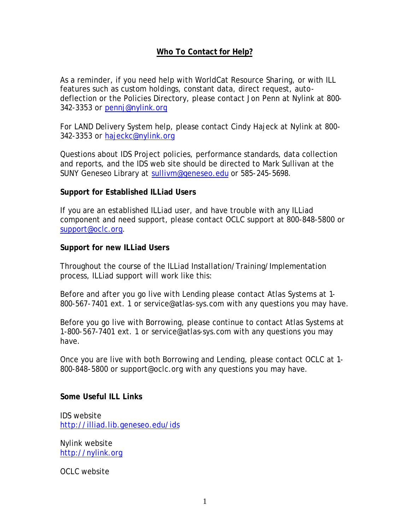## **Who To Contact for Help?**

As a reminder, if you need help with WorldCat Resource Sharing, or with ILL features such as custom holdings, constant data, direct request, autodeflection or the Policies Directory, please contact Jon Penn at Nylink at 800- 342-3353 or pennj@nylink.org

For LAND Delivery System help, please contact Cindy Hajeck at Nylink at 800- 342-3353 or hajeckc@nylink.org

Questions about IDS Project policies, performance standards, data collection and reports, and the IDS web site should be directed to Mark Sullivan at the SUNY Geneseo Library at sullivm@geneseo.edu or 585-245-5698.

## **Support for Established ILLiad Users**

If you are an established ILLiad user, and have trouble with any ILLiad component and need support, please contact OCLC support at 800-848-5800 or support@oclc.org.

## **Support for new ILLiad Users**

Throughout the course of the ILLiad Installation/Training/Implementation process, ILLiad support will work like this:

Before and after you go live with Lending please contact Atlas Systems at 1- 800-567-7401 ext. 1 or service@atlas-sys.com with any questions you may have.

Before you go live with Borrowing, please continue to contact Atlas Systems at 1-800-567-7401 ext. 1 or service@atlas-sys.com with any questions you may have.

Once you are live with both Borrowing and Lending, please contact OCLC at 1- 800-848-5800 or support@oclc.org with any questions you may have.

## **Some Useful ILL Links**

IDS website http://illiad.lib.geneseo.edu/ids

Nylink website http://nylink.org

OCLC website